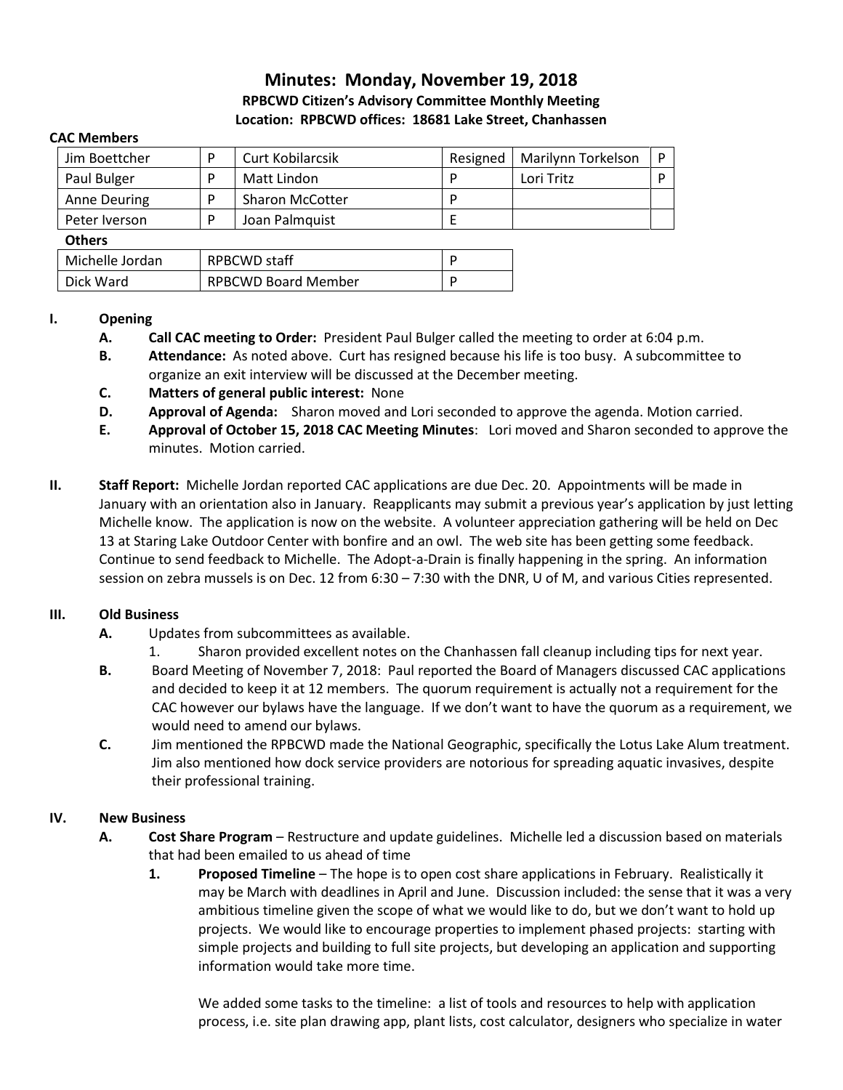# **Minutes: Monday, November 19, 2018 RPBCWD Citizen's Advisory Committee Monthly Meeting Location: RPBCWD offices: 18681 Lake Street, Chanhassen**

#### **CAC Members**

| Jim Boettcher       | <b>Curt Kobilarcsik</b> | Resigned | Marilynn Torkelson |  |
|---------------------|-------------------------|----------|--------------------|--|
| Paul Bulger         | Matt Lindon             |          | Lori Tritz         |  |
| <b>Anne Deuring</b> | <b>Sharon McCotter</b>  |          |                    |  |
| Peter Iverson       | Joan Palmquist          |          |                    |  |
| <b>Others</b>       |                         |          |                    |  |

### **Others**

| Michelle Jordan | RPBCWD staff               |  |
|-----------------|----------------------------|--|
| Dick Ward       | <b>RPBCWD Board Member</b> |  |

#### **I. Opening**

- **A. Call CAC meeting to Order:** President Paul Bulger called the meeting to order at 6:04 p.m.
- **B. Attendance:** As noted above. Curt has resigned because his life is too busy. A subcommittee to organize an exit interview will be discussed at the December meeting.
- **C. Matters of general public interest:** None
- **D. Approval of Agenda:** Sharon moved and Lori seconded to approve the agenda. Motion carried.
- **E. Approval of October 15, 2018 CAC Meeting Minutes**: Lori moved and Sharon seconded to approve the minutes. Motion carried.
- **II. Staff Report:** Michelle Jordan reported CAC applications are due Dec. 20. Appointments will be made in January with an orientation also in January. Reapplicants may submit a previous year's application by just letting Michelle know. The application is now on the website. A volunteer appreciation gathering will be held on Dec 13 at Staring Lake Outdoor Center with bonfire and an owl. The web site has been getting some feedback. Continue to send feedback to Michelle. The Adopt-a-Drain is finally happening in the spring. An information session on zebra mussels is on Dec. 12 from 6:30 – 7:30 with the DNR, U of M, and various Cities represented.

## **III. Old Business**

- **A.** Updates from subcommittees as available.
	- 1. Sharon provided excellent notes on the Chanhassen fall cleanup including tips for next year.
- **B.** Board Meeting of November 7, 2018: Paul reported the Board of Managers discussed CAC applications and decided to keep it at 12 members. The quorum requirement is actually not a requirement for the CAC however our bylaws have the language. If we don't want to have the quorum as a requirement, we would need to amend our bylaws.
- **C.** Jim mentioned the RPBCWD made the National Geographic, specifically the Lotus Lake Alum treatment. Jim also mentioned how dock service providers are notorious for spreading aquatic invasives, despite their professional training.

## **IV. New Business**

- **A. Cost Share Program** Restructure and update guidelines. Michelle led a discussion based on materials that had been emailed to us ahead of time
	- **1. Proposed Timeline** The hope is to open cost share applications in February. Realistically it may be March with deadlines in April and June. Discussion included: the sense that it was a very ambitious timeline given the scope of what we would like to do, but we don't want to hold up projects. We would like to encourage properties to implement phased projects: starting with simple projects and building to full site projects, but developing an application and supporting information would take more time.

We added some tasks to the timeline: a list of tools and resources to help with application process, i.e. site plan drawing app, plant lists, cost calculator, designers who specialize in water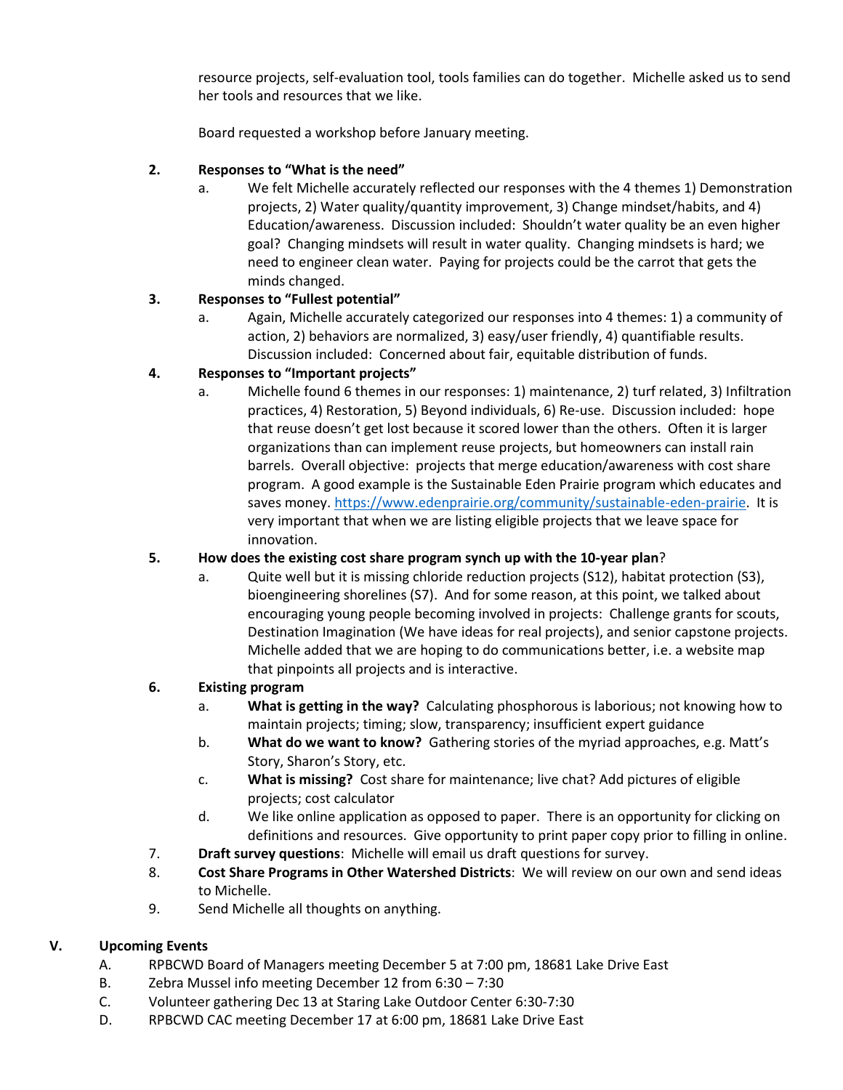resource projects, self-evaluation tool, tools families can do together. Michelle asked us to send her tools and resources that we like.

Board requested a workshop before January meeting.

## **2. Responses to "What is the need"**

a. We felt Michelle accurately reflected our responses with the 4 themes 1) Demonstration projects, 2) Water quality/quantity improvement, 3) Change mindset/habits, and 4) Education/awareness. Discussion included: Shouldn't water quality be an even higher goal? Changing mindsets will result in water quality. Changing mindsets is hard; we need to engineer clean water. Paying for projects could be the carrot that gets the minds changed.

## **3. Responses to "Fullest potential"**

a. Again, Michelle accurately categorized our responses into 4 themes: 1) a community of action, 2) behaviors are normalized, 3) easy/user friendly, 4) quantifiable results. Discussion included: Concerned about fair, equitable distribution of funds.

## **4. Responses to "Important projects"**

a. Michelle found 6 themes in our responses: 1) maintenance, 2) turf related, 3) Infiltration practices, 4) Restoration, 5) Beyond individuals, 6) Re-use. Discussion included: hope that reuse doesn't get lost because it scored lower than the others. Often it is larger organizations than can implement reuse projects, but homeowners can install rain barrels. Overall objective: projects that merge education/awareness with cost share program. A good example is the Sustainable Eden Prairie program which educates and saves money. [https://www.edenprairie.org/community/sustainable-eden-prairie.](https://www.edenprairie.org/community/sustainable-eden-prairie) It is very important that when we are listing eligible projects that we leave space for innovation.

## **5. How does the existing cost share program synch up with the 10-year plan**?

a. Quite well but it is missing chloride reduction projects (S12), habitat protection (S3), bioengineering shorelines (S7). And for some reason, at this point, we talked about encouraging young people becoming involved in projects: Challenge grants for scouts, Destination Imagination (We have ideas for real projects), and senior capstone projects. Michelle added that we are hoping to do communications better, i.e. a website map that pinpoints all projects and is interactive.

## **6. Existing program**

- a. **What is getting in the way?** Calculating phosphorous is laborious; not knowing how to maintain projects; timing; slow, transparency; insufficient expert guidance
- b. **What do we want to know?** Gathering stories of the myriad approaches, e.g. Matt's Story, Sharon's Story, etc.
- c. **What is missing?** Cost share for maintenance; live chat? Add pictures of eligible projects; cost calculator
- d. We like online application as opposed to paper. There is an opportunity for clicking on definitions and resources. Give opportunity to print paper copy prior to filling in online.
- 7. **Draft survey questions**: Michelle will email us draft questions for survey.
- 8. **Cost Share Programs in Other Watershed Districts**: We will review on our own and send ideas to Michelle.
- 9. Send Michelle all thoughts on anything.

# **V. Upcoming Events**

- A. RPBCWD Board of Managers meeting December 5 at 7:00 pm, 18681 Lake Drive East
- B. Zebra Mussel info meeting December 12 from 6:30 7:30
- C. Volunteer gathering Dec 13 at Staring Lake Outdoor Center 6:30-7:30
- D. RPBCWD CAC meeting December 17 at 6:00 pm, 18681 Lake Drive East